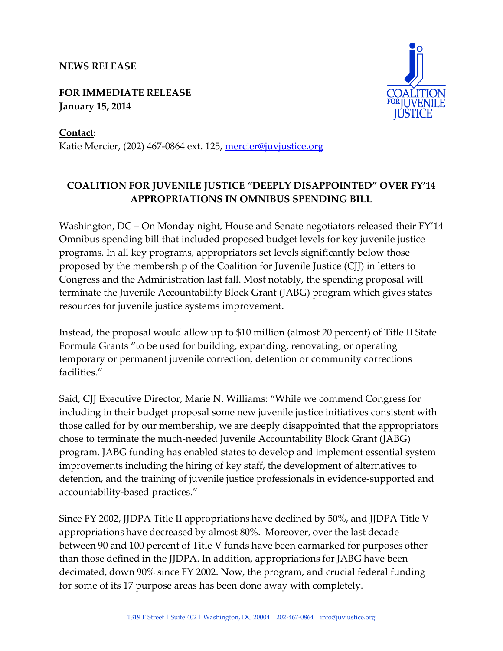## **NEWS RELEASE**

**FOR IMMEDIATE RELEASE January 15, 2014**



**Contact:**  Katie Mercier, (202) 467-0864 ext. 125, [mercier@juvjustice.org](mailto:mercier@juvjustice.org)

## **COALITION FOR JUVENILE JUSTICE "DEEPLY DISAPPOINTED" OVER FY'14 APPROPRIATIONS IN OMNIBUS SPENDING BILL**

Washington, DC – On Monday night, House and Senate negotiators released their FY'14 Omnibus spending bill that included proposed budget levels for key juvenile justice programs. In all key programs, appropriators set levels significantly below those proposed by the membership of the Coalition for Juvenile Justice (CJJ) in letters to Congress and the Administration last fall. Most notably, the spending proposal will terminate the Juvenile Accountability Block Grant (JABG) program which gives states resources for juvenile justice systems improvement.

Instead, the proposal would allow up to \$10 million (almost 20 percent) of Title II State Formula Grants "to be used for building, expanding, renovating, or operating temporary or permanent juvenile correction, detention or community corrections facilities."

Said, CJJ Executive Director, Marie N. Williams: "While we commend Congress for including in their budget proposal some new juvenile justice initiatives consistent with those called for by our membership, we are deeply disappointed that the appropriators chose to terminate the much-needed Juvenile Accountability Block Grant (JABG) program. JABG funding has enabled states to develop and implement essential system improvements including the hiring of key staff, the development of alternatives to detention, and the training of juvenile justice professionals in evidence-supported and accountability-based practices."

Since FY 2002, JJDPA Title II appropriations have declined by 50%, and JJDPA Title V appropriations have decreased by almost 80%. Moreover, over the last decade between 90 and 100 percent of Title V funds have been earmarked for purposes other than those defined in the JJDPA. In addition, appropriations for JABG have been decimated, down 90% since FY 2002. Now, the program, and crucial federal funding for some of its 17 purpose areas has been done away with completely.